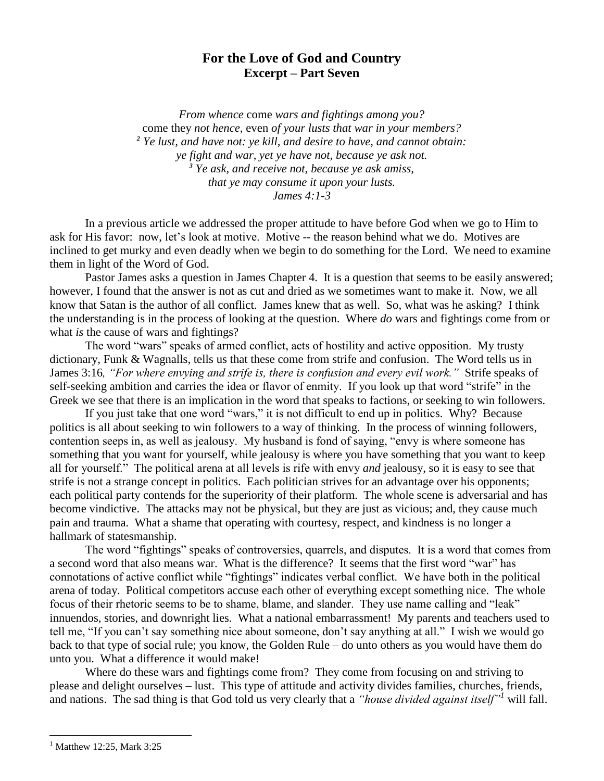## **For the Love of God and Country Excerpt – Part Seven**

*From whence* come *wars and fightings among you?*  come they *not hence,* even *of your lusts that war in your members? <sup>2</sup> Ye lust, and have not: ye kill, and desire to have, and cannot obtain: ye fight and war, yet ye have not, because ye ask not. <sup>3</sup> Ye ask, and receive not, because ye ask amiss, that ye may consume it upon your lusts. James 4:1-3*

In a previous article we addressed the proper attitude to have before God when we go to Him to ask for His favor: now, let's look at motive. Motive -- the reason behind what we do. Motives are inclined to get murky and even deadly when we begin to do something for the Lord. We need to examine them in light of the Word of God.

Pastor James asks a question in James Chapter 4. It is a question that seems to be easily answered; however, I found that the answer is not as cut and dried as we sometimes want to make it. Now, we all know that Satan is the author of all conflict. James knew that as well. So, what was he asking? I think the understanding is in the process of looking at the question. Where *do* wars and fightings come from or what *is* the cause of wars and fightings?

The word "wars" speaks of armed conflict, acts of hostility and active opposition. My trusty dictionary, Funk & Wagnalls, tells us that these come from strife and confusion. The Word tells us in James 3:16*, "For where envying and strife is, there is confusion and every evil work."* Strife speaks of self-seeking ambition and carries the idea or flavor of enmity. If you look up that word "strife" in the Greek we see that there is an implication in the word that speaks to factions, or seeking to win followers.

If you just take that one word "wars," it is not difficult to end up in politics. Why? Because politics is all about seeking to win followers to a way of thinking. In the process of winning followers, contention seeps in, as well as jealousy. My husband is fond of saying, "envy is where someone has something that you want for yourself, while jealousy is where you have something that you want to keep all for yourself." The political arena at all levels is rife with envy *and* jealousy, so it is easy to see that strife is not a strange concept in politics. Each politician strives for an advantage over his opponents; each political party contends for the superiority of their platform. The whole scene is adversarial and has become vindictive. The attacks may not be physical, but they are just as vicious; and, they cause much pain and trauma. What a shame that operating with courtesy, respect, and kindness is no longer a hallmark of statesmanship.

The word "fightings" speaks of controversies, quarrels, and disputes. It is a word that comes from a second word that also means war. What is the difference? It seems that the first word "war" has connotations of active conflict while "fightings" indicates verbal conflict. We have both in the political arena of today. Political competitors accuse each other of everything except something nice. The whole focus of their rhetoric seems to be to shame, blame, and slander. They use name calling and "leak" innuendos, stories, and downright lies. What a national embarrassment! My parents and teachers used to tell me, "If you can't say something nice about someone, don't say anything at all." I wish we would go back to that type of social rule; you know, the Golden Rule – do unto others as you would have them do unto you. What a difference it would make!

Where do these wars and fightings come from? They come from focusing on and striving to please and delight ourselves – lust. This type of attitude and activity divides families, churches, friends, and nations. The sad thing is that God told us very clearly that a *"house divided against itself"<sup>1</sup>* will fall.

 $\overline{a}$ 

 $^{1}$  Matthew 12:25, Mark 3:25